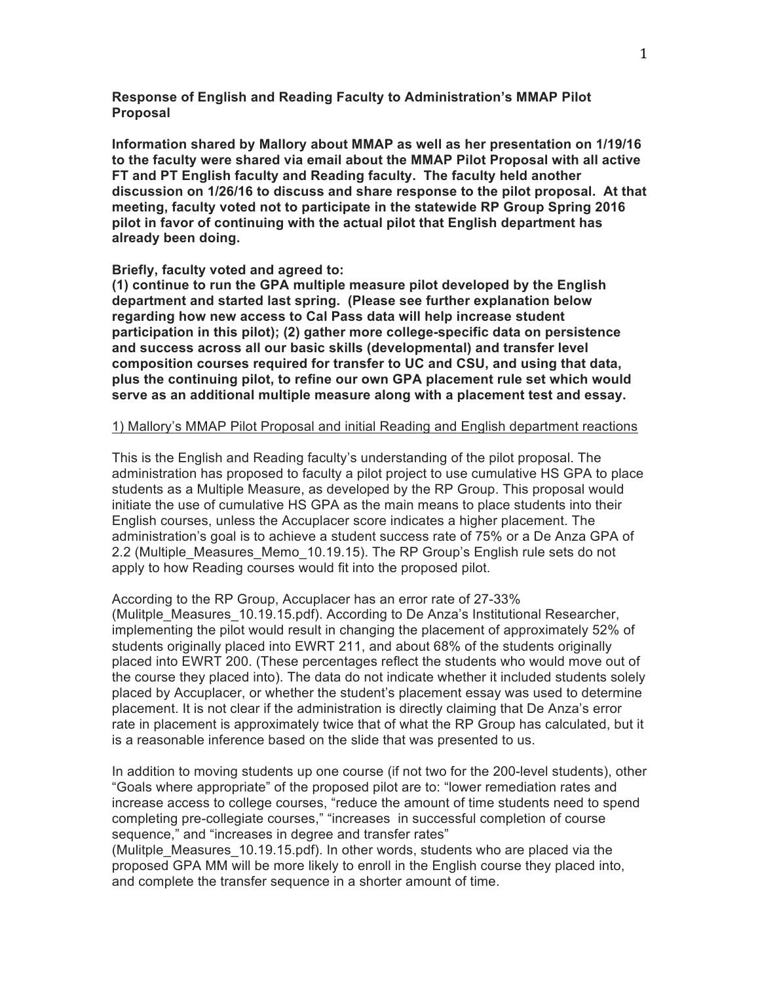## **Response of English and Reading Faculty to Administration's MMAP Pilot Proposal**

**Information shared by Mallory about MMAP as well as her presentation on 1/19/16 to the faculty were shared via email about the MMAP Pilot Proposal with all active FT and PT English faculty and Reading faculty. The faculty held another discussion on 1/26/16 to discuss and share response to the pilot proposal. At that meeting, faculty voted not to participate in the statewide RP Group Spring 2016 pilot in favor of continuing with the actual pilot that English department has already been doing.**

#### **Briefly, faculty voted and agreed to:**

**(1) continue to run the GPA multiple measure pilot developed by the English department and started last spring. (Please see further explanation below regarding how new access to Cal Pass data will help increase student participation in this pilot); (2) gather more college-specific data on persistence and success across all our basic skills (developmental) and transfer level composition courses required for transfer to UC and CSU, and using that data, plus the continuing pilot, to refine our own GPA placement rule set which would serve as an additional multiple measure along with a placement test and essay.**

### 1) Mallory's MMAP Pilot Proposal and initial Reading and English department reactions

This is the English and Reading faculty's understanding of the pilot proposal. The administration has proposed to faculty a pilot project to use cumulative HS GPA to place students as a Multiple Measure, as developed by the RP Group. This proposal would initiate the use of cumulative HS GPA as the main means to place students into their English courses, unless the Accuplacer score indicates a higher placement. The administration's goal is to achieve a student success rate of 75% or a De Anza GPA of 2.2 (Multiple Measures Memo 10.19.15). The RP Group's English rule sets do not apply to how Reading courses would fit into the proposed pilot.

According to the RP Group, Accuplacer has an error rate of 27-33% (Mulitple\_Measures\_10.19.15.pdf). According to De Anza's Institutional Researcher, implementing the pilot would result in changing the placement of approximately 52% of students originally placed into EWRT 211, and about 68% of the students originally placed into EWRT 200. (These percentages reflect the students who would move out of the course they placed into). The data do not indicate whether it included students solely placed by Accuplacer, or whether the student's placement essay was used to determine placement. It is not clear if the administration is directly claiming that De Anza's error rate in placement is approximately twice that of what the RP Group has calculated, but it is a reasonable inference based on the slide that was presented to us.

In addition to moving students up one course (if not two for the 200-level students), other "Goals where appropriate" of the proposed pilot are to: "lower remediation rates and increase access to college courses, "reduce the amount of time students need to spend completing pre-collegiate courses," "increases in successful completion of course sequence," and "increases in degree and transfer rates"

(Mulitple\_Measures\_10.19.15.pdf). In other words, students who are placed via the proposed GPA MM will be more likely to enroll in the English course they placed into, and complete the transfer sequence in a shorter amount of time.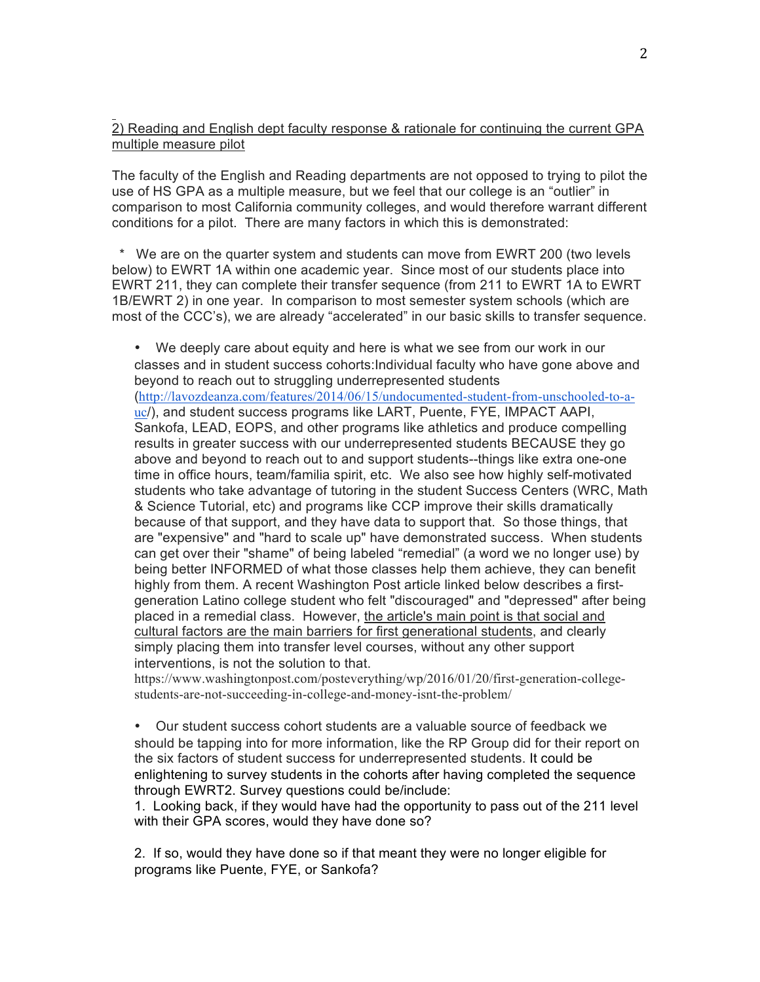# 2) Reading and English dept faculty response & rationale for continuing the current GPA multiple measure pilot

The faculty of the English and Reading departments are not opposed to trying to pilot the use of HS GPA as a multiple measure, but we feel that our college is an "outlier" in comparison to most California community colleges, and would therefore warrant different conditions for a pilot. There are many factors in which this is demonstrated:

 \* We are on the quarter system and students can move from EWRT 200 (two levels below) to EWRT 1A within one academic year. Since most of our students place into EWRT 211, they can complete their transfer sequence (from 211 to EWRT 1A to EWRT 1B/EWRT 2) in one year. In comparison to most semester system schools (which are most of the CCC's), we are already "accelerated" in our basic skills to transfer sequence.

• We deeply care about equity and here is what we see from our work in our classes and in student success cohorts:Individual faculty who have gone above and beyond to reach out to struggling underrepresented students (http://lavozdeanza.com/features/2014/06/15/undocumented-student-from-unschooled-to-auc/), and student success programs like LART, Puente, FYE, IMPACT AAPI, Sankofa, LEAD, EOPS, and other programs like athletics and produce compelling results in greater success with our underrepresented students BECAUSE they go above and beyond to reach out to and support students--things like extra one-one time in office hours, team/familia spirit, etc. We also see how highly self-motivated students who take advantage of tutoring in the student Success Centers (WRC, Math & Science Tutorial, etc) and programs like CCP improve their skills dramatically because of that support, and they have data to support that. So those things, that are "expensive" and "hard to scale up" have demonstrated success. When students can get over their "shame" of being labeled "remedial" (a word we no longer use) by being better INFORMED of what those classes help them achieve, they can benefit highly from them. A recent Washington Post article linked below describes a firstgeneration Latino college student who felt "discouraged" and "depressed" after being placed in a remedial class. However, the article's main point is that social and cultural factors are the main barriers for first generational students, and clearly simply placing them into transfer level courses, without any other support interventions, is not the solution to that.

https://www.washingtonpost.com/posteverything/wp/2016/01/20/first-generation-collegestudents-are-not-succeeding-in-college-and-money-isnt-the-problem/

• Our student success cohort students are a valuable source of feedback we should be tapping into for more information, like the RP Group did for their report on the six factors of student success for underrepresented students. It could be enlightening to survey students in the cohorts after having completed the sequence through EWRT2. Survey questions could be/include:

1. Looking back, if they would have had the opportunity to pass out of the 211 level with their GPA scores, would they have done so?

2. If so, would they have done so if that meant they were no longer eligible for programs like Puente, FYE, or Sankofa?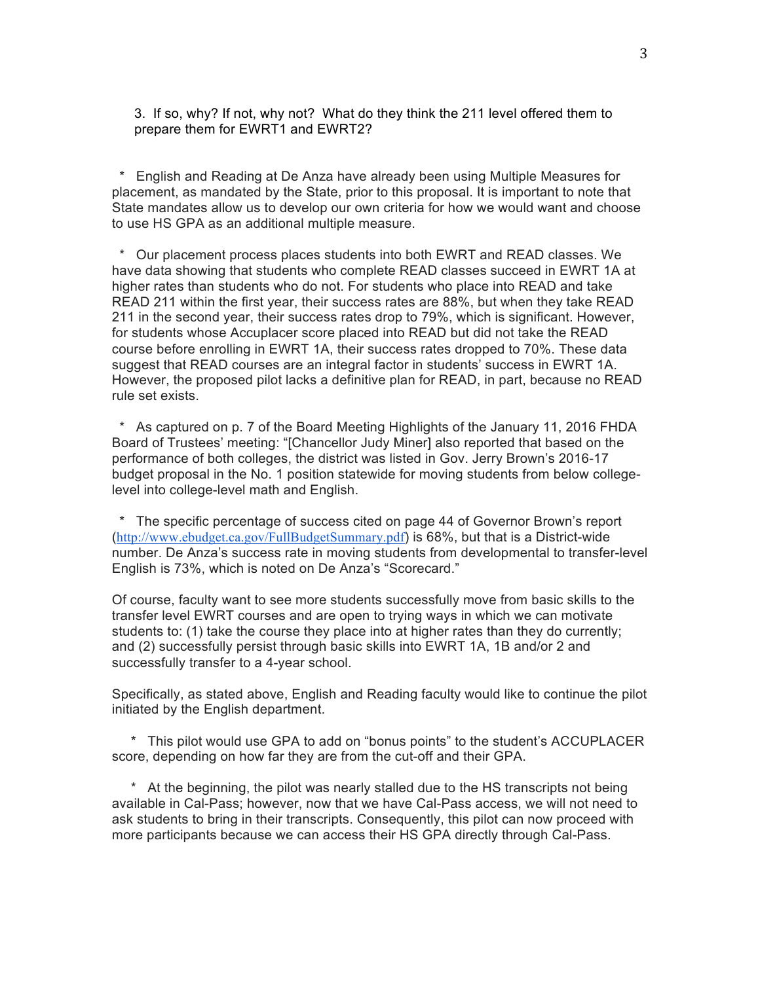3. If so, why? If not, why not? What do they think the 211 level offered them to prepare them for EWRT1 and EWRT2?

 \* English and Reading at De Anza have already been using Multiple Measures for placement, as mandated by the State, prior to this proposal. It is important to note that State mandates allow us to develop our own criteria for how we would want and choose to use HS GPA as an additional multiple measure.

Our placement process places students into both EWRT and READ classes. We have data showing that students who complete READ classes succeed in EWRT 1A at higher rates than students who do not. For students who place into READ and take READ 211 within the first year, their success rates are 88%, but when they take READ 211 in the second year, their success rates drop to 79%, which is significant. However, for students whose Accuplacer score placed into READ but did not take the READ course before enrolling in EWRT 1A, their success rates dropped to 70%. These data suggest that READ courses are an integral factor in students' success in EWRT 1A. However, the proposed pilot lacks a definitive plan for READ, in part, because no READ rule set exists.

As captured on p. 7 of the Board Meeting Highlights of the January 11, 2016 FHDA Board of Trustees' meeting: "[Chancellor Judy Miner] also reported that based on the performance of both colleges, the district was listed in Gov. Jerry Brown's 2016-17 budget proposal in the No. 1 position statewide for moving students from below collegelevel into college-level math and English.

 \* The specific percentage of success cited on page 44 of Governor Brown's report (http://www.ebudget.ca.gov/FullBudgetSummary.pdf) is 68%, but that is a District-wide number. De Anza's success rate in moving students from developmental to transfer-level English is 73%, which is noted on De Anza's "Scorecard."

Of course, faculty want to see more students successfully move from basic skills to the transfer level EWRT courses and are open to trying ways in which we can motivate students to: (1) take the course they place into at higher rates than they do currently; and (2) successfully persist through basic skills into EWRT 1A, 1B and/or 2 and successfully transfer to a 4-year school.

Specifically, as stated above, English and Reading faculty would like to continue the pilot initiated by the English department.

\* This pilot would use GPA to add on "bonus points" to the student's ACCUPLACER score, depending on how far they are from the cut-off and their GPA.

\* At the beginning, the pilot was nearly stalled due to the HS transcripts not being available in Cal-Pass; however, now that we have Cal-Pass access, we will not need to ask students to bring in their transcripts. Consequently, this pilot can now proceed with more participants because we can access their HS GPA directly through Cal-Pass.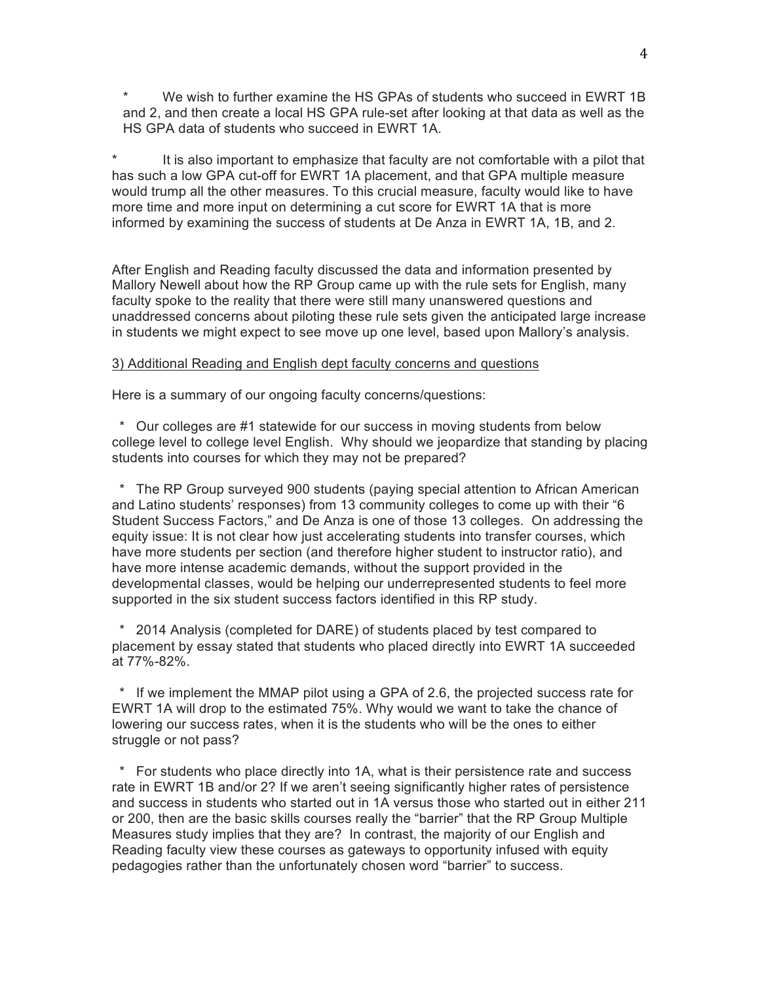We wish to further examine the HS GPAs of students who succeed in EWRT 1B and 2, and then create a local HS GPA rule-set after looking at that data as well as the HS GPA data of students who succeed in EWRT 1A.

It is also important to emphasize that faculty are not comfortable with a pilot that has such a low GPA cut-off for EWRT 1A placement, and that GPA multiple measure would trump all the other measures. To this crucial measure, faculty would like to have more time and more input on determining a cut score for EWRT 1A that is more informed by examining the success of students at De Anza in EWRT 1A, 1B, and 2.

After English and Reading faculty discussed the data and information presented by Mallory Newell about how the RP Group came up with the rule sets for English, many faculty spoke to the reality that there were still many unanswered questions and unaddressed concerns about piloting these rule sets given the anticipated large increase in students we might expect to see move up one level, based upon Mallory's analysis.

### 3) Additional Reading and English dept faculty concerns and questions

Here is a summary of our ongoing faculty concerns/questions:

Our colleges are #1 statewide for our success in moving students from below college level to college level English. Why should we jeopardize that standing by placing students into courses for which they may not be prepared?

 \* The RP Group surveyed 900 students (paying special attention to African American and Latino students' responses) from 13 community colleges to come up with their "6 Student Success Factors," and De Anza is one of those 13 colleges. On addressing the equity issue: It is not clear how just accelerating students into transfer courses, which have more students per section (and therefore higher student to instructor ratio), and have more intense academic demands, without the support provided in the developmental classes, would be helping our underrepresented students to feel more supported in the six student success factors identified in this RP study.

2014 Analysis (completed for DARE) of students placed by test compared to placement by essay stated that students who placed directly into EWRT 1A succeeded at 77%-82%.

 \* If we implement the MMAP pilot using a GPA of 2.6, the projected success rate for EWRT 1A will drop to the estimated 75%. Why would we want to take the chance of lowering our success rates, when it is the students who will be the ones to either struggle or not pass?

 \* For students who place directly into 1A, what is their persistence rate and success rate in EWRT 1B and/or 2? If we aren't seeing significantly higher rates of persistence and success in students who started out in 1A versus those who started out in either 211 or 200, then are the basic skills courses really the "barrier" that the RP Group Multiple Measures study implies that they are? In contrast, the majority of our English and Reading faculty view these courses as gateways to opportunity infused with equity pedagogies rather than the unfortunately chosen word "barrier" to success.